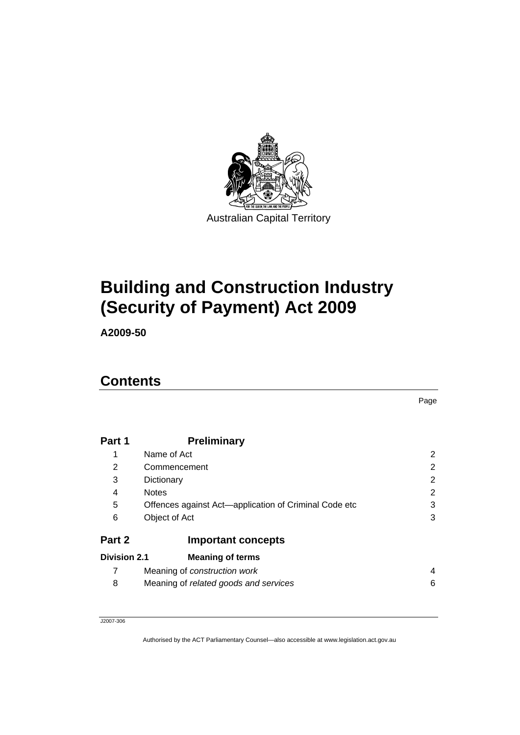

# **[Building and Construction Industry](#page-4-0)  [\(Security of Payment\) Act 2009](#page-4-0)**

**A2009-50** 

# **Contents**

| Part 1              | <b>Preliminary</b>                                    |   |  |  |
|---------------------|-------------------------------------------------------|---|--|--|
| 1                   | Name of Act                                           | 2 |  |  |
| 2                   | 2<br>Commencement                                     |   |  |  |
| 3                   | 2<br>Dictionary                                       |   |  |  |
| 4                   | <b>Notes</b>                                          | 2 |  |  |
| 5                   | Offences against Act—application of Criminal Code etc | 3 |  |  |
| 6                   | Object of Act                                         | 3 |  |  |
| Part 2              | <b>Important concepts</b>                             |   |  |  |
| <b>Division 2.1</b> | <b>Meaning of terms</b>                               |   |  |  |
| 7                   | Meaning of <i>construction</i> work                   | 4 |  |  |
| 8                   | Meaning of related goods and services                 | 6 |  |  |

J2007-306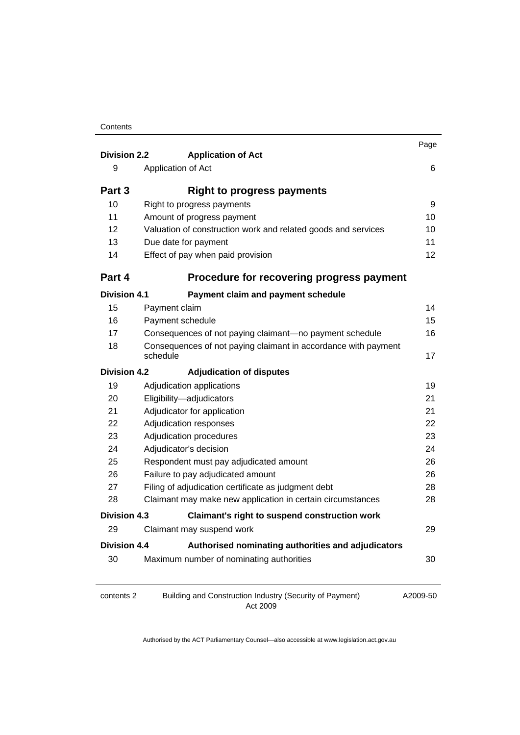| <b>Division 2.2</b> | <b>Application of Act</b>                                                  | Page |  |
|---------------------|----------------------------------------------------------------------------|------|--|
| 9                   | Application of Act                                                         | 6    |  |
|                     |                                                                            |      |  |
| Part 3              | <b>Right to progress payments</b>                                          |      |  |
| 10                  | Right to progress payments                                                 |      |  |
| 11                  | Amount of progress payment                                                 |      |  |
| 12                  | Valuation of construction work and related goods and services              |      |  |
| 13                  | Due date for payment                                                       |      |  |
| 14                  | Effect of pay when paid provision                                          |      |  |
| Part 4              | Procedure for recovering progress payment                                  |      |  |
| <b>Division 4.1</b> | Payment claim and payment schedule                                         |      |  |
| 15                  | Payment claim                                                              | 14   |  |
| 16                  | Payment schedule                                                           | 15   |  |
| 17                  | Consequences of not paying claimant-no payment schedule                    |      |  |
| 18                  | Consequences of not paying claimant in accordance with payment<br>schedule |      |  |
| <b>Division 4.2</b> | <b>Adjudication of disputes</b>                                            |      |  |
| 19                  | Adjudication applications                                                  |      |  |
| 20                  | Eligibility-adjudicators                                                   | 21   |  |
| 21                  | Adjudicator for application                                                | 21   |  |
| 22                  | Adjudication responses<br>22                                               |      |  |
| 23                  | Adjudication procedures                                                    | 23   |  |
| 24                  | Adjudicator's decision<br>24                                               |      |  |
| 25                  | Respondent must pay adjudicated amount<br>26                               |      |  |
| 26                  | Failure to pay adjudicated amount                                          |      |  |
| 27                  | Filing of adjudication certificate as judgment debt                        |      |  |
| 28                  | Claimant may make new application in certain circumstances<br>28           |      |  |
| <b>Division 4.3</b> | <b>Claimant's right to suspend construction work</b>                       |      |  |
| 29                  | Claimant may suspend work                                                  | 29   |  |
| Division 4.4        | Authorised nominating authorities and adjudicators                         |      |  |
| 30                  | Maximum number of nominating authorities                                   | 30   |  |
|                     |                                                                            |      |  |

contents 2 Building and Construction Industry (Security of Payment) Act 2009

A2009-50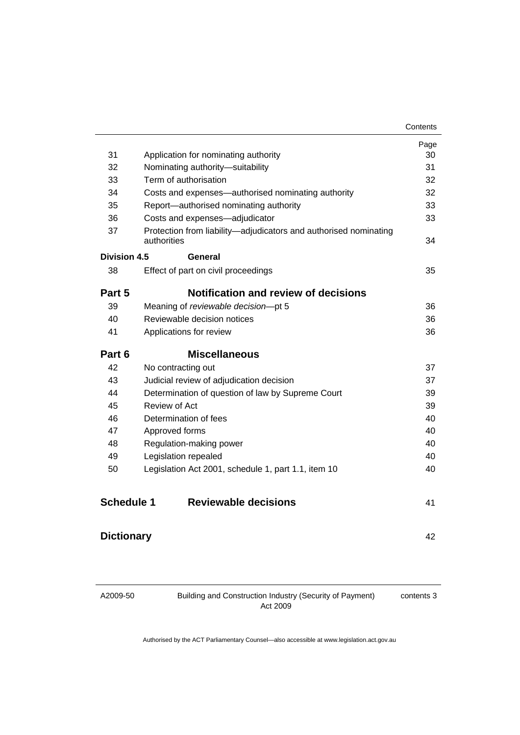|                                                  |                                                                                 | Contents |
|--------------------------------------------------|---------------------------------------------------------------------------------|----------|
|                                                  |                                                                                 | Page     |
| 31                                               | Application for nominating authority                                            | 30       |
| 32                                               | Nominating authority-suitability                                                | 31       |
| 33                                               | Term of authorisation                                                           | 32       |
| 34                                               | Costs and expenses—authorised nominating authority                              | 32       |
| 35                                               | Report-authorised nominating authority                                          | 33       |
| 36                                               | Costs and expenses-adjudicator                                                  | 33       |
| 37                                               | Protection from liability-adjudicators and authorised nominating<br>authorities | 34       |
| Division 4.5                                     | General                                                                         |          |
| 38                                               | Effect of part on civil proceedings                                             | 35       |
| Part 5                                           | <b>Notification and review of decisions</b>                                     |          |
| 39                                               | Meaning of reviewable decision-pt 5                                             | 36       |
| 40                                               | Reviewable decision notices                                                     | 36       |
| 41                                               | Applications for review                                                         | 36       |
| Part 6                                           | <b>Miscellaneous</b>                                                            |          |
| 42                                               | No contracting out                                                              | 37       |
| 43                                               | Judicial review of adjudication decision                                        |          |
| 44                                               | Determination of question of law by Supreme Court                               |          |
| 45                                               | Review of Act                                                                   | 39       |
| 46                                               | Determination of fees                                                           | 40       |
| 47                                               | Approved forms                                                                  | 40       |
| 48                                               | Regulation-making power                                                         | 40       |
| 49                                               | Legislation repealed                                                            | 40       |
| 50                                               | Legislation Act 2001, schedule 1, part 1.1, item 10                             | 40       |
| <b>Schedule 1</b><br><b>Reviewable decisions</b> |                                                                                 | 41       |
| <b>Dictionary</b>                                |                                                                                 |          |

A2009-50

Building and Construction Industry (Security of Payment) Act 2009

contents 3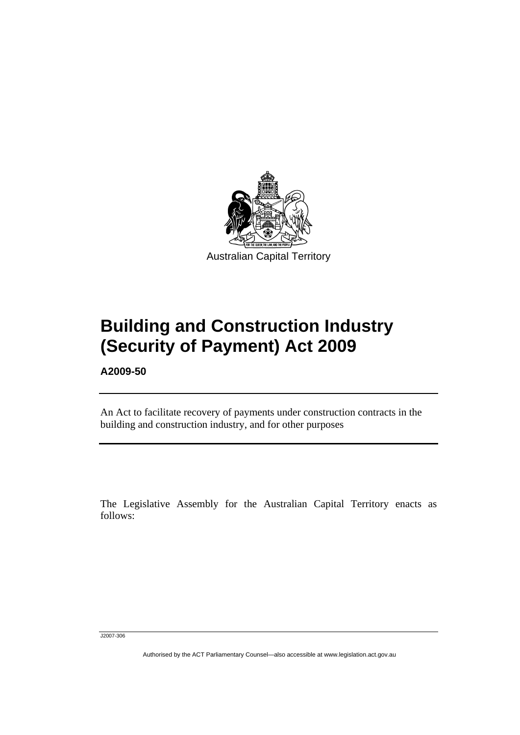<span id="page-4-0"></span>

# **Building and Construction Industry (Security of Payment) Act 2009**

**A2009-50** 

Ī

An Act to facilitate recovery of payments under construction contracts in the building and construction industry, and for other purposes

The Legislative Assembly for the Australian Capital Territory enacts as follows:

J2007-306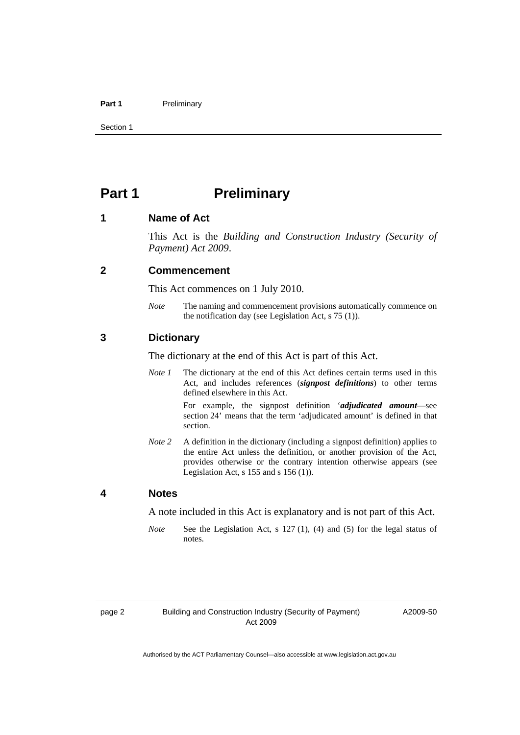#### <span id="page-5-0"></span>Part 1 **Preliminary**

Section 1

# **Part 1** Preliminary

#### **1 Name of Act**

This Act is the *Building and Construction Industry (Security of Payment) Act 2009*.

#### **2 Commencement**

This Act commences on 1 July 2010.

*Note* The naming and commencement provisions automatically commence on the notification day (see Legislation Act, s 75 (1)).

#### **3 Dictionary**

The dictionary at the end of this Act is part of this Act.

*Note 1* The dictionary at the end of this Act defines certain terms used in this Act, and includes references (*signpost definitions*) to other terms defined elsewhere in this Act.

> For example, the signpost definition '*adjudicated amount*—see section 24' means that the term 'adjudicated amount' is defined in that section.

*Note 2* A definition in the dictionary (including a signpost definition) applies to the entire Act unless the definition, or another provision of the Act, provides otherwise or the contrary intention otherwise appears (see Legislation Act,  $s$  155 and  $s$  156 (1)).

#### **4 Notes**

A note included in this Act is explanatory and is not part of this Act.

*Note* See the Legislation Act, s 127 (1), (4) and (5) for the legal status of notes.

A2009-50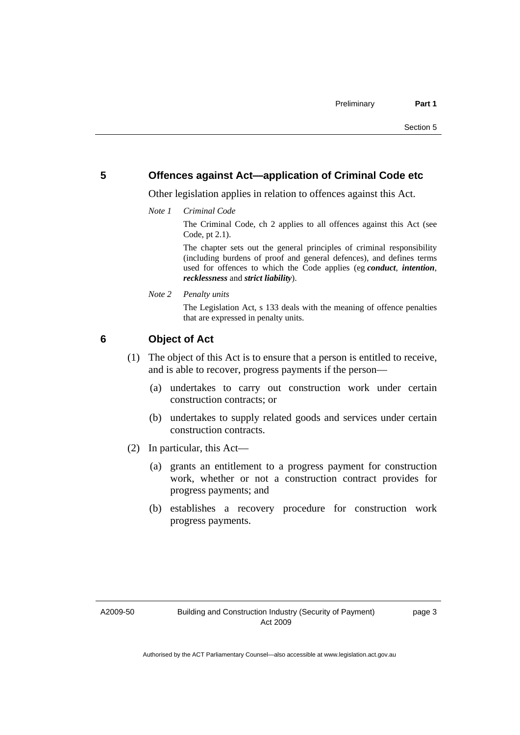#### <span id="page-6-0"></span>**5 Offences against Act—application of Criminal Code etc**

Other legislation applies in relation to offences against this Act.

*Note 1 Criminal Code*

The Criminal Code, ch 2 applies to all offences against this Act (see Code, pt 2.1).

The chapter sets out the general principles of criminal responsibility (including burdens of proof and general defences), and defines terms used for offences to which the Code applies (eg *conduct*, *intention*, *recklessness* and *strict liability*).

*Note 2 Penalty units* 

The Legislation Act, s 133 deals with the meaning of offence penalties that are expressed in penalty units.

#### **6 Object of Act**

- (1) The object of this Act is to ensure that a person is entitled to receive, and is able to recover, progress payments if the person—
	- (a) undertakes to carry out construction work under certain construction contracts; or
	- (b) undertakes to supply related goods and services under certain construction contracts.
- (2) In particular, this Act—
	- (a) grants an entitlement to a progress payment for construction work, whether or not a construction contract provides for progress payments; and
	- (b) establishes a recovery procedure for construction work progress payments.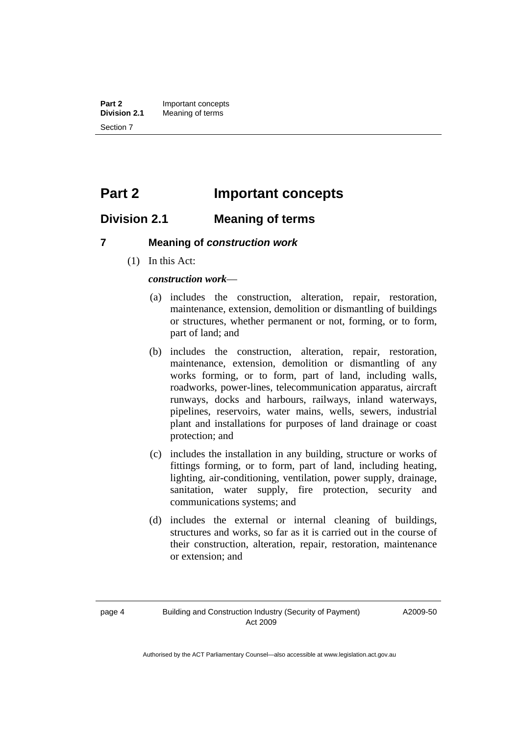<span id="page-7-0"></span>**Part 2** Important concepts<br>**Division 2.1** Meaning of terms **Meaning of terms** Section 7

# **Part 2 Important concepts**

### **Division 2.1 Meaning of terms**

#### **7 Meaning of** *construction work*

(1) In this Act:

*construction work*—

- (a) includes the construction, alteration, repair, restoration, maintenance, extension, demolition or dismantling of buildings or structures, whether permanent or not, forming, or to form, part of land; and
- (b) includes the construction, alteration, repair, restoration, maintenance, extension, demolition or dismantling of any works forming, or to form, part of land, including walls, roadworks, power-lines, telecommunication apparatus, aircraft runways, docks and harbours, railways, inland waterways, pipelines, reservoirs, water mains, wells, sewers, industrial plant and installations for purposes of land drainage or coast protection; and
- (c) includes the installation in any building, structure or works of fittings forming, or to form, part of land, including heating, lighting, air-conditioning, ventilation, power supply, drainage, sanitation, water supply, fire protection, security and communications systems; and
- (d) includes the external or internal cleaning of buildings, structures and works, so far as it is carried out in the course of their construction, alteration, repair, restoration, maintenance or extension; and

A2009-50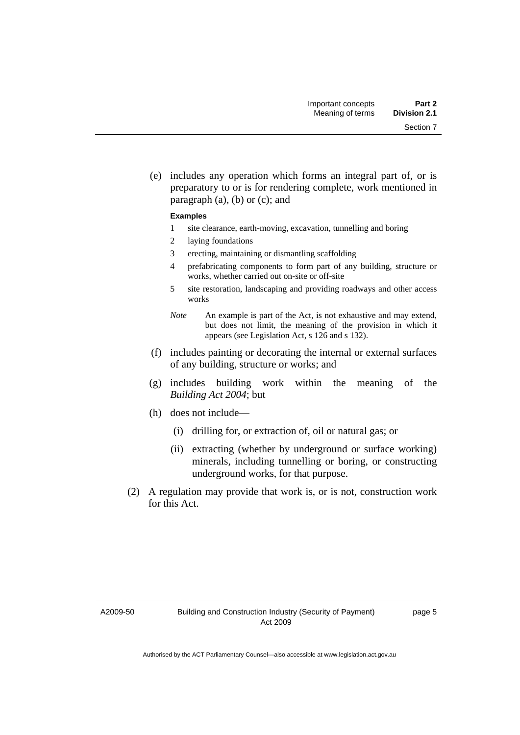(e) includes any operation which forms an integral part of, or is preparatory to or is for rendering complete, work mentioned in paragraph  $(a)$ ,  $(b)$  or  $(c)$ ; and

#### **Examples**

- 1 site clearance, earth-moving, excavation, tunnelling and boring
- 2 laying foundations
- 3 erecting, maintaining or dismantling scaffolding
- 4 prefabricating components to form part of any building, structure or works, whether carried out on-site or off-site
- 5 site restoration, landscaping and providing roadways and other access works
- *Note* An example is part of the Act, is not exhaustive and may extend, but does not limit, the meaning of the provision in which it appears (see Legislation Act, s 126 and s 132).
- (f) includes painting or decorating the internal or external surfaces of any building, structure or works; and
- (g) includes building work within the meaning of the *Building Act 2004*; but
- (h) does not include—
	- (i) drilling for, or extraction of, oil or natural gas; or
	- (ii) extracting (whether by underground or surface working) minerals, including tunnelling or boring, or constructing underground works, for that purpose.
- (2) A regulation may provide that work is, or is not, construction work for this Act.

A2009-50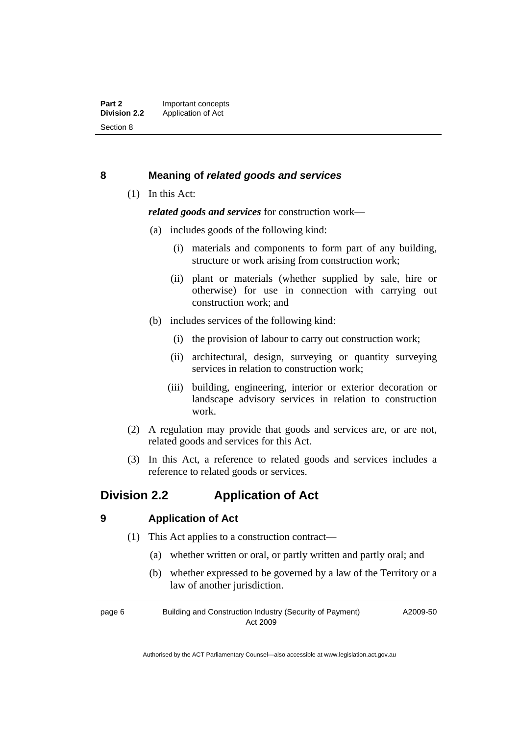#### <span id="page-9-0"></span>**8 Meaning of** *related goods and services*

(1) In this Act:

*related goods and services* for construction work—

- (a) includes goods of the following kind:
	- (i) materials and components to form part of any building, structure or work arising from construction work;
	- (ii) plant or materials (whether supplied by sale, hire or otherwise) for use in connection with carrying out construction work; and
- (b) includes services of the following kind:
	- (i) the provision of labour to carry out construction work;
	- (ii) architectural, design, surveying or quantity surveying services in relation to construction work;
	- (iii) building, engineering, interior or exterior decoration or landscape advisory services in relation to construction work.
- (2) A regulation may provide that goods and services are, or are not, related goods and services for this Act.
- (3) In this Act, a reference to related goods and services includes a reference to related goods or services.

## **Division 2.2 Application of Act**

#### **9 Application of Act**

- (1) This Act applies to a construction contract—
	- (a) whether written or oral, or partly written and partly oral; and
	- (b) whether expressed to be governed by a law of the Territory or a law of another jurisdiction.

page 6 Building and Construction Industry (Security of Payment) Act 2009 A2009-50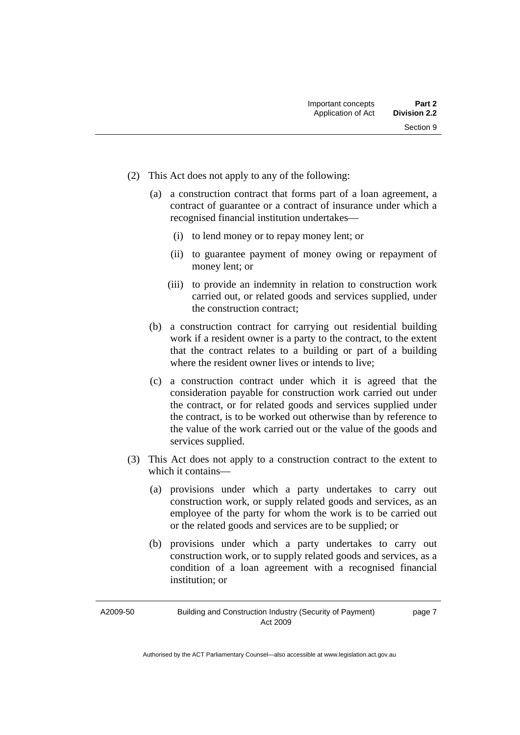- (2) This Act does not apply to any of the following:
	- (a) a construction contract that forms part of a loan agreement, a contract of guarantee or a contract of insurance under which a recognised financial institution undertakes—
		- (i) to lend money or to repay money lent; or
		- (ii) to guarantee payment of money owing or repayment of money lent; or
		- (iii) to provide an indemnity in relation to construction work carried out, or related goods and services supplied, under the construction contract;
	- (b) a construction contract for carrying out residential building work if a resident owner is a party to the contract, to the extent that the contract relates to a building or part of a building where the resident owner lives or intends to live:
	- (c) a construction contract under which it is agreed that the consideration payable for construction work carried out under the contract, or for related goods and services supplied under the contract, is to be worked out otherwise than by reference to the value of the work carried out or the value of the goods and services supplied.
- (3) This Act does not apply to a construction contract to the extent to which it contains—
	- (a) provisions under which a party undertakes to carry out construction work, or supply related goods and services, as an employee of the party for whom the work is to be carried out or the related goods and services are to be supplied; or
	- (b) provisions under which a party undertakes to carry out construction work, or to supply related goods and services, as a condition of a loan agreement with a recognised financial institution; or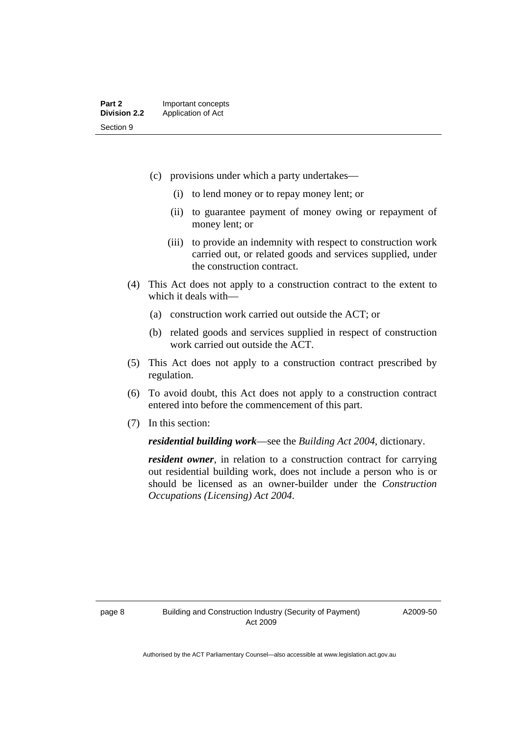- (c) provisions under which a party undertakes—
	- (i) to lend money or to repay money lent; or
	- (ii) to guarantee payment of money owing or repayment of money lent; or
	- (iii) to provide an indemnity with respect to construction work carried out, or related goods and services supplied, under the construction contract.
- (4) This Act does not apply to a construction contract to the extent to which it deals with—
	- (a) construction work carried out outside the ACT; or
	- (b) related goods and services supplied in respect of construction work carried out outside the ACT.
- (5) This Act does not apply to a construction contract prescribed by regulation.
- (6) To avoid doubt, this Act does not apply to a construction contract entered into before the commencement of this part.
- (7) In this section:

*residential building work*—see the *Building Act 2004,* dictionary.

*resident owner*, in relation to a construction contract for carrying out residential building work, does not include a person who is or should be licensed as an owner-builder under the *Construction Occupations (Licensing) Act 2004*.

A2009-50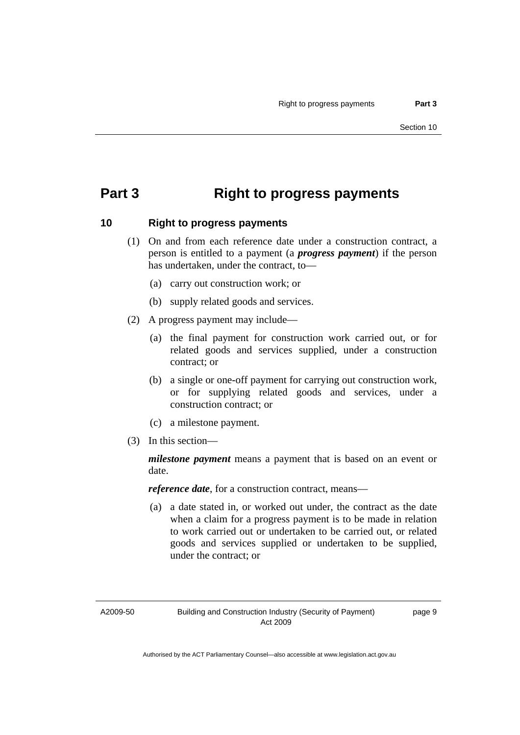# <span id="page-12-0"></span>**Part 3 Right to progress payments**

#### **10 Right to progress payments**

- (1) On and from each reference date under a construction contract, a person is entitled to a payment (a *progress payment*) if the person has undertaken, under the contract, to—
	- (a) carry out construction work; or
	- (b) supply related goods and services.
- (2) A progress payment may include—
	- (a) the final payment for construction work carried out, or for related goods and services supplied, under a construction contract; or
	- (b) a single or one-off payment for carrying out construction work, or for supplying related goods and services, under a construction contract; or
	- (c) a milestone payment.
- (3) In this section—

*milestone payment* means a payment that is based on an event or date.

*reference date*, for a construction contract, means—

 (a) a date stated in, or worked out under, the contract as the date when a claim for a progress payment is to be made in relation to work carried out or undertaken to be carried out, or related goods and services supplied or undertaken to be supplied, under the contract; or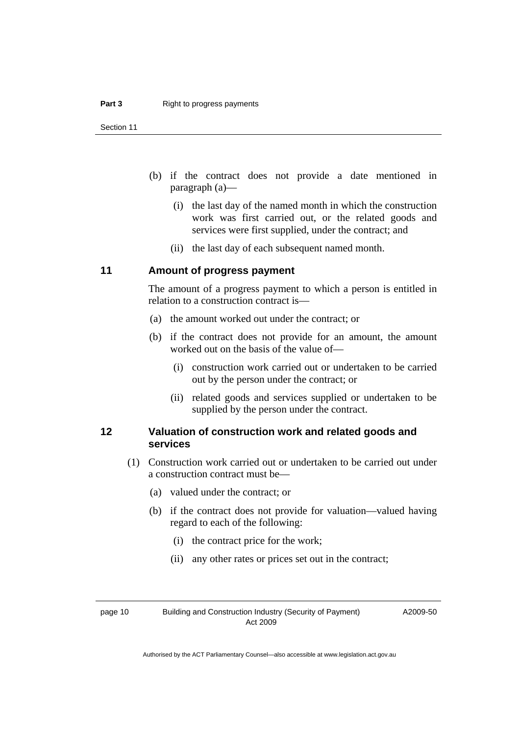<span id="page-13-0"></span>Section 11

- (b) if the contract does not provide a date mentioned in paragraph (a)—
	- (i) the last day of the named month in which the construction work was first carried out, or the related goods and services were first supplied, under the contract; and
	- (ii) the last day of each subsequent named month.

#### **11 Amount of progress payment**

The amount of a progress payment to which a person is entitled in relation to a construction contract is—

- (a) the amount worked out under the contract; or
- (b) if the contract does not provide for an amount, the amount worked out on the basis of the value of—
	- (i) construction work carried out or undertaken to be carried out by the person under the contract; or
	- (ii) related goods and services supplied or undertaken to be supplied by the person under the contract.

#### **12 Valuation of construction work and related goods and services**

- (1) Construction work carried out or undertaken to be carried out under a construction contract must be—
	- (a) valued under the contract; or
	- (b) if the contract does not provide for valuation—valued having regard to each of the following:
		- (i) the contract price for the work;
		- (ii) any other rates or prices set out in the contract;

page 10 Building and Construction Industry (Security of Payment) Act 2009

A2009-50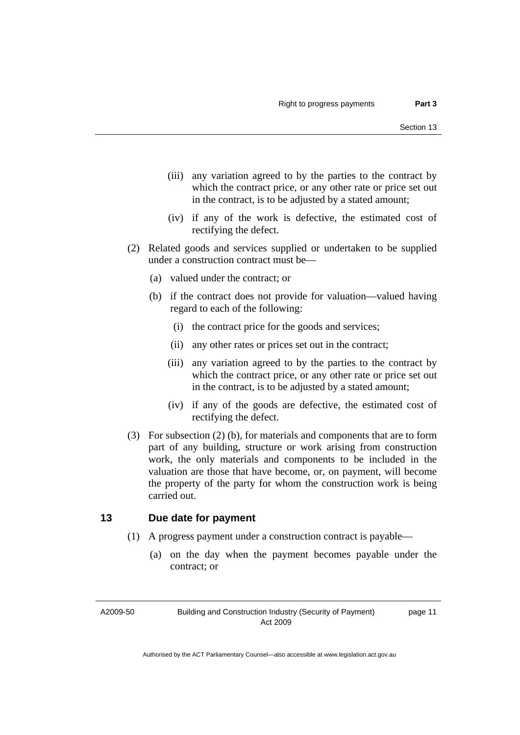- <span id="page-14-0"></span> (iii) any variation agreed to by the parties to the contract by which the contract price, or any other rate or price set out in the contract, is to be adjusted by a stated amount;
- (iv) if any of the work is defective, the estimated cost of rectifying the defect.
- (2) Related goods and services supplied or undertaken to be supplied under a construction contract must be—
	- (a) valued under the contract; or
	- (b) if the contract does not provide for valuation—valued having regard to each of the following:
		- (i) the contract price for the goods and services;
		- (ii) any other rates or prices set out in the contract;
		- (iii) any variation agreed to by the parties to the contract by which the contract price, or any other rate or price set out in the contract, is to be adjusted by a stated amount;
		- (iv) if any of the goods are defective, the estimated cost of rectifying the defect.
- (3) For subsection (2) (b), for materials and components that are to form part of any building, structure or work arising from construction work, the only materials and components to be included in the valuation are those that have become, or, on payment, will become the property of the party for whom the construction work is being carried out.

#### **13 Due date for payment**

- (1) A progress payment under a construction contract is payable—
	- (a) on the day when the payment becomes payable under the contract; or

A2009-50

Building and Construction Industry (Security of Payment) Act 2009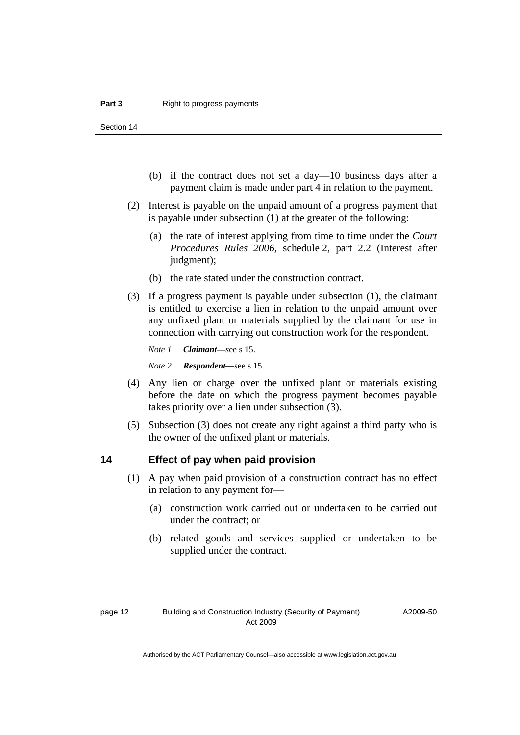<span id="page-15-0"></span>Section 14

- (b) if the contract does not set a day—10 business days after a payment claim is made under part 4 in relation to the payment.
- (2) Interest is payable on the unpaid amount of a progress payment that is payable under subsection (1) at the greater of the following:
	- (a) the rate of interest applying from time to time under the *Court Procedures Rules 2006*, schedule 2, part 2.2 (Interest after judgment);
	- (b) the rate stated under the construction contract.
- (3) If a progress payment is payable under subsection (1), the claimant is entitled to exercise a lien in relation to the unpaid amount over any unfixed plant or materials supplied by the claimant for use in connection with carrying out construction work for the respondent.

*Note 1 Claimant—s*ee s 15. *Note 2 Respondent—s*ee s 15.

- (4) Any lien or charge over the unfixed plant or materials existing before the date on which the progress payment becomes payable takes priority over a lien under subsection (3).
- (5) Subsection (3) does not create any right against a third party who is the owner of the unfixed plant or materials.

#### **14 Effect of pay when paid provision**

- (1) A pay when paid provision of a construction contract has no effect in relation to any payment for—
	- (a) construction work carried out or undertaken to be carried out under the contract; or
	- (b) related goods and services supplied or undertaken to be supplied under the contract.

A2009-50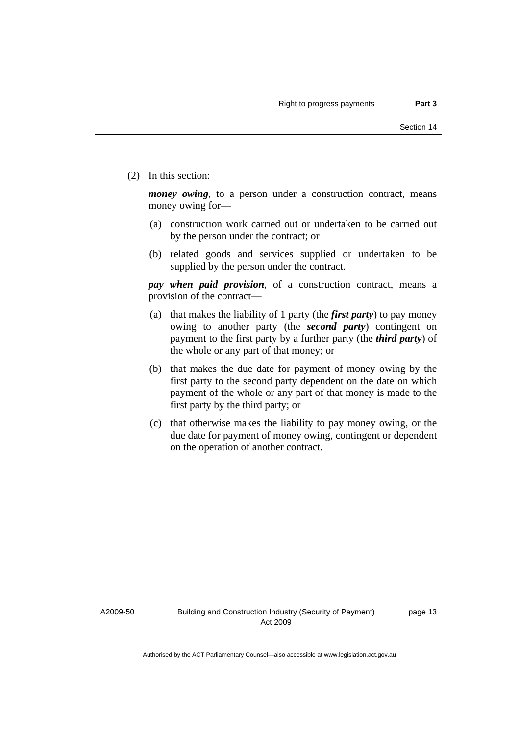(2) In this section:

*money owing*, to a person under a construction contract, means money owing for—

- (a) construction work carried out or undertaken to be carried out by the person under the contract; or
- (b) related goods and services supplied or undertaken to be supplied by the person under the contract.

*pay when paid provision*, of a construction contract, means a provision of the contract—

- (a) that makes the liability of 1 party (the *first party*) to pay money owing to another party (the *second party*) contingent on payment to the first party by a further party (the *third party*) of the whole or any part of that money; or
- (b) that makes the due date for payment of money owing by the first party to the second party dependent on the date on which payment of the whole or any part of that money is made to the first party by the third party; or
- (c) that otherwise makes the liability to pay money owing, or the due date for payment of money owing, contingent or dependent on the operation of another contract.

A2009-50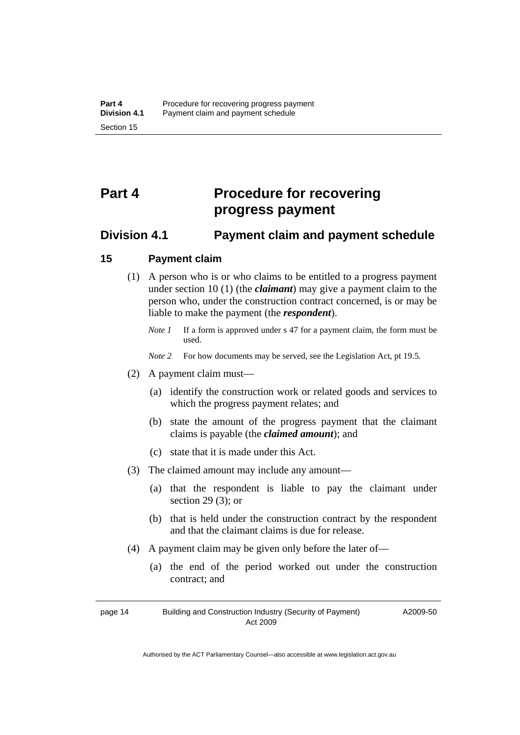# <span id="page-17-0"></span>**Part 4 Procedure for recovering progress payment**

#### **Division 4.1 Payment claim and payment schedule**

#### **15 Payment claim**

- (1) A person who is or who claims to be entitled to a progress payment under section 10 (1) (the *claimant*) may give a payment claim to the person who, under the construction contract concerned, is or may be liable to make the payment (the *respondent*).
	- *Note 1* If a form is approved under s 47 for a payment claim, the form must be used.
	- *Note 2* For how documents may be served, see the Legislation Act, pt 19.5.
- (2) A payment claim must—
	- (a) identify the construction work or related goods and services to which the progress payment relates; and
	- (b) state the amount of the progress payment that the claimant claims is payable (the *claimed amount*); and
	- (c) state that it is made under this Act.
- (3) The claimed amount may include any amount—
	- (a) that the respondent is liable to pay the claimant under section 29 $(3)$ ; or
	- (b) that is held under the construction contract by the respondent and that the claimant claims is due for release.
- (4) A payment claim may be given only before the later of—
	- (a) the end of the period worked out under the construction contract; and

page 14 Building and Construction Industry (Security of Payment) Act 2009

A2009-50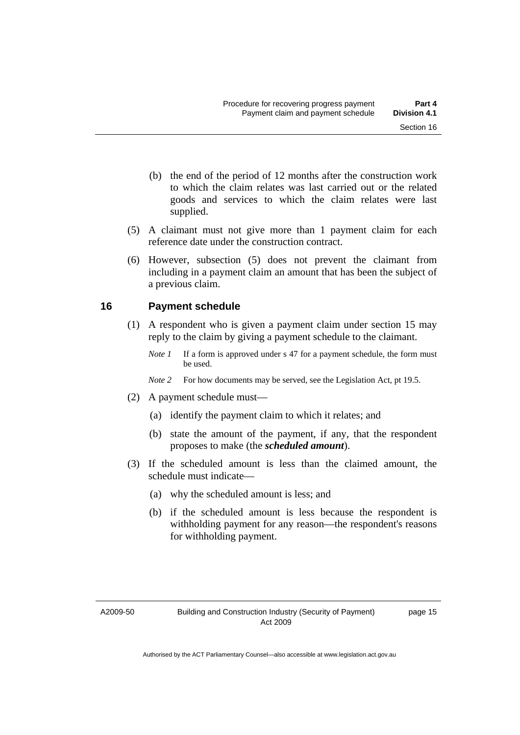- <span id="page-18-0"></span> (b) the end of the period of 12 months after the construction work to which the claim relates was last carried out or the related goods and services to which the claim relates were last supplied.
- (5) A claimant must not give more than 1 payment claim for each reference date under the construction contract.
- (6) However, subsection (5) does not prevent the claimant from including in a payment claim an amount that has been the subject of a previous claim.

#### **16 Payment schedule**

- (1) A respondent who is given a payment claim under section 15 may reply to the claim by giving a payment schedule to the claimant.
	- *Note 1* If a form is approved under s 47 for a payment schedule, the form must be used.
	- *Note 2* For how documents may be served, see the Legislation Act, pt 19.5.
- (2) A payment schedule must—
	- (a) identify the payment claim to which it relates; and
	- (b) state the amount of the payment, if any, that the respondent proposes to make (the *scheduled amount*).
- (3) If the scheduled amount is less than the claimed amount, the schedule must indicate—
	- (a) why the scheduled amount is less; and
	- (b) if the scheduled amount is less because the respondent is withholding payment for any reason—the respondent's reasons for withholding payment.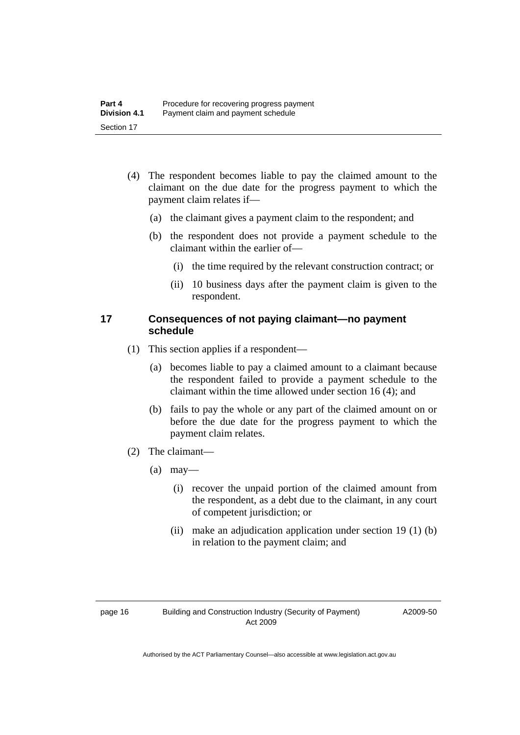- <span id="page-19-0"></span> (4) The respondent becomes liable to pay the claimed amount to the claimant on the due date for the progress payment to which the payment claim relates if—
	- (a) the claimant gives a payment claim to the respondent; and
	- (b) the respondent does not provide a payment schedule to the claimant within the earlier of—
		- (i) the time required by the relevant construction contract; or
		- (ii) 10 business days after the payment claim is given to the respondent.

#### **17 Consequences of not paying claimant—no payment schedule**

- (1) This section applies if a respondent—
	- (a) becomes liable to pay a claimed amount to a claimant because the respondent failed to provide a payment schedule to the claimant within the time allowed under section 16 (4); and
	- (b) fails to pay the whole or any part of the claimed amount on or before the due date for the progress payment to which the payment claim relates.
- (2) The claimant—
	- $(a)$  may—
		- (i) recover the unpaid portion of the claimed amount from the respondent, as a debt due to the claimant, in any court of competent jurisdiction; or
		- (ii) make an adjudication application under section 19 (1) (b) in relation to the payment claim; and

A2009-50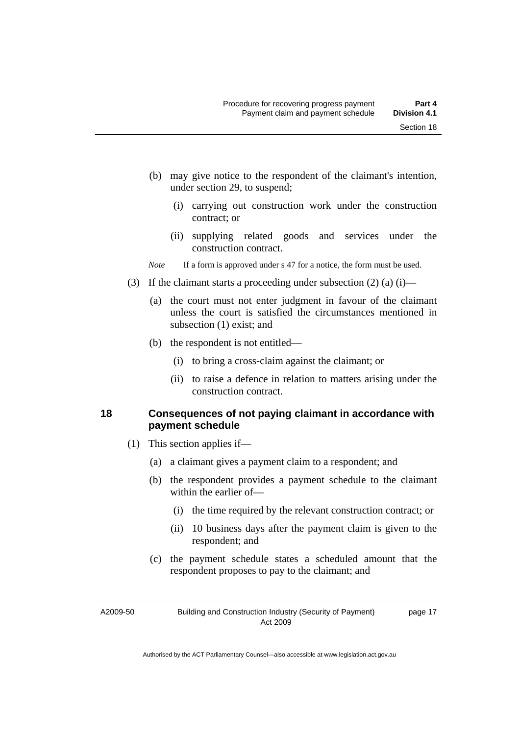page 17

- <span id="page-20-0"></span> (b) may give notice to the respondent of the claimant's intention, under section 29, to suspend;
	- (i) carrying out construction work under the construction contract; or
	- (ii) supplying related goods and services under the construction contract.

*Note* If a form is approved under s 47 for a notice, the form must be used.

- (3) If the claimant starts a proceeding under subsection  $(2)$  (a) (i)—
	- (a) the court must not enter judgment in favour of the claimant unless the court is satisfied the circumstances mentioned in subsection (1) exist; and
	- (b) the respondent is not entitled—
		- (i) to bring a cross-claim against the claimant; or
		- (ii) to raise a defence in relation to matters arising under the construction contract.

#### **18 Consequences of not paying claimant in accordance with payment schedule**

- (1) This section applies if—
	- (a) a claimant gives a payment claim to a respondent; and
	- (b) the respondent provides a payment schedule to the claimant within the earlier of—
		- (i) the time required by the relevant construction contract; or
		- (ii) 10 business days after the payment claim is given to the respondent; and
	- (c) the payment schedule states a scheduled amount that the respondent proposes to pay to the claimant; and

A2009-50

Building and Construction Industry (Security of Payment) Act 2009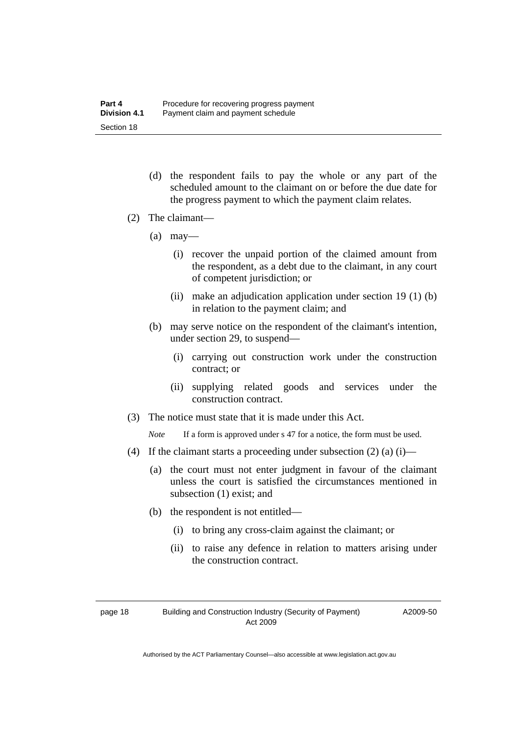- (d) the respondent fails to pay the whole or any part of the scheduled amount to the claimant on or before the due date for the progress payment to which the payment claim relates.
- (2) The claimant—
	- $(a)$  may—
		- (i) recover the unpaid portion of the claimed amount from the respondent, as a debt due to the claimant, in any court of competent jurisdiction; or
		- (ii) make an adjudication application under section 19 (1) (b) in relation to the payment claim; and
	- (b) may serve notice on the respondent of the claimant's intention, under section 29, to suspend—
		- (i) carrying out construction work under the construction contract; or
		- (ii) supplying related goods and services under the construction contract.
- (3) The notice must state that it is made under this Act.

*Note* If a form is approved under s 47 for a notice, the form must be used.

- (4) If the claimant starts a proceeding under subsection  $(2)$  (a) (i)—
	- (a) the court must not enter judgment in favour of the claimant unless the court is satisfied the circumstances mentioned in subsection (1) exist; and
	- (b) the respondent is not entitled—
		- (i) to bring any cross-claim against the claimant; or
		- (ii) to raise any defence in relation to matters arising under the construction contract.

A2009-50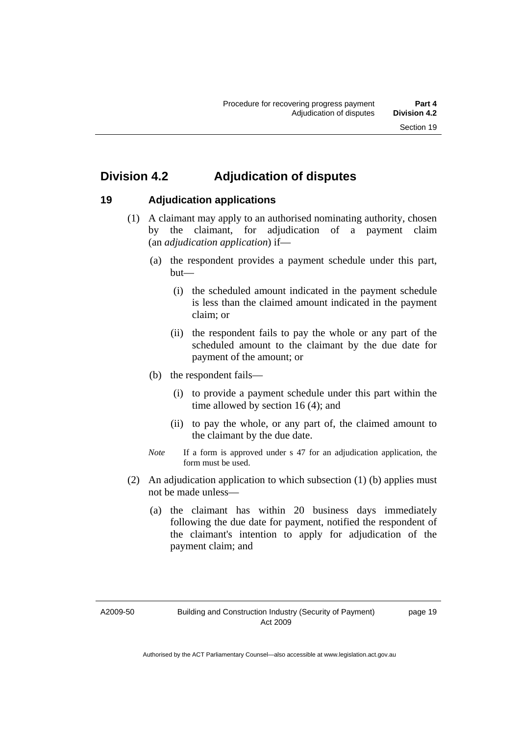# <span id="page-22-0"></span>**Division 4.2 Adjudication of disputes**

#### **19 Adjudication applications**

- (1) A claimant may apply to an authorised nominating authority, chosen by the claimant, for adjudication of a payment claim (an *adjudication application*) if—
	- (a) the respondent provides a payment schedule under this part, but—
		- (i) the scheduled amount indicated in the payment schedule is less than the claimed amount indicated in the payment claim; or
		- (ii) the respondent fails to pay the whole or any part of the scheduled amount to the claimant by the due date for payment of the amount; or
	- (b) the respondent fails—
		- (i) to provide a payment schedule under this part within the time allowed by section 16 (4); and
		- (ii) to pay the whole, or any part of, the claimed amount to the claimant by the due date.
	- *Note* If a form is approved under s 47 for an adjudication application, the form must be used.
- (2) An adjudication application to which subsection (1) (b) applies must not be made unless—
	- (a) the claimant has within 20 business days immediately following the due date for payment, notified the respondent of the claimant's intention to apply for adjudication of the payment claim; and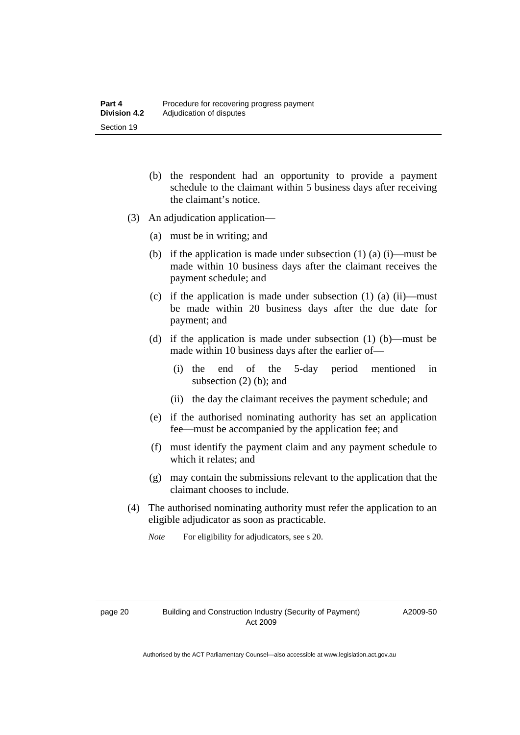- (b) the respondent had an opportunity to provide a payment schedule to the claimant within 5 business days after receiving the claimant's notice.
- (3) An adjudication application—
	- (a) must be in writing; and
	- (b) if the application is made under subsection  $(1)$   $(a)$   $(i)$ —must be made within 10 business days after the claimant receives the payment schedule; and
	- (c) if the application is made under subsection (1) (a) (ii)—must be made within 20 business days after the due date for payment; and
	- (d) if the application is made under subsection (1) (b)—must be made within 10 business days after the earlier of—
		- (i) the end of the 5-day period mentioned in subsection (2) (b); and
		- (ii) the day the claimant receives the payment schedule; and
	- (e) if the authorised nominating authority has set an application fee—must be accompanied by the application fee; and
	- (f) must identify the payment claim and any payment schedule to which it relates; and
	- (g) may contain the submissions relevant to the application that the claimant chooses to include.
- (4) The authorised nominating authority must refer the application to an eligible adjudicator as soon as practicable.
	- *Note* For eligibility for adjudicators, see s 20.

A2009-50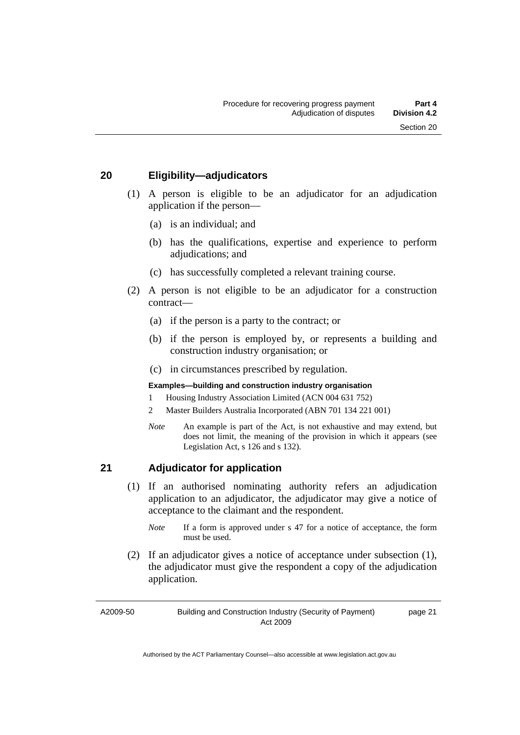#### <span id="page-24-0"></span>**20 Eligibility—adjudicators**

- (1) A person is eligible to be an adjudicator for an adjudication application if the person—
	- (a) is an individual; and
	- (b) has the qualifications, expertise and experience to perform adjudications; and
	- (c) has successfully completed a relevant training course.
- (2) A person is not eligible to be an adjudicator for a construction contract—
	- (a) if the person is a party to the contract; or
	- (b) if the person is employed by, or represents a building and construction industry organisation; or
	- (c) in circumstances prescribed by regulation.

#### **Examples—building and construction industry organisation**

- 1 Housing Industry Association Limited (ACN 004 631 752)
- 2 Master Builders Australia Incorporated (ABN 701 134 221 001)
- *Note* An example is part of the Act, is not exhaustive and may extend, but does not limit, the meaning of the provision in which it appears (see Legislation Act, s 126 and s 132).

#### **21 Adjudicator for application**

- (1) If an authorised nominating authority refers an adjudication application to an adjudicator, the adjudicator may give a notice of acceptance to the claimant and the respondent.
	- *Note* If a form is approved under s 47 for a notice of acceptance, the form must be used.
- (2) If an adjudicator gives a notice of acceptance under subsection (1), the adjudicator must give the respondent a copy of the adjudication application.

A2009-50

Building and Construction Industry (Security of Payment) Act 2009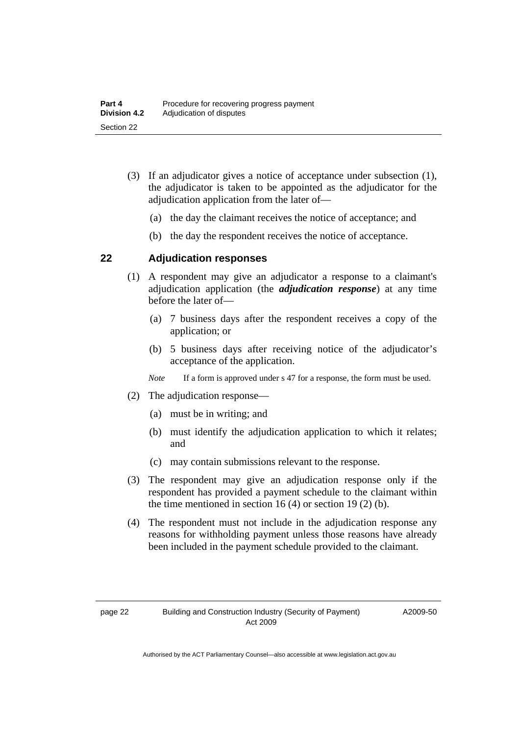- <span id="page-25-0"></span> (3) If an adjudicator gives a notice of acceptance under subsection (1), the adjudicator is taken to be appointed as the adjudicator for the adjudication application from the later of—
	- (a) the day the claimant receives the notice of acceptance; and
	- (b) the day the respondent receives the notice of acceptance.

#### **22 Adjudication responses**

- (1) A respondent may give an adjudicator a response to a claimant's adjudication application (the *adjudication response*) at any time before the later of—
	- (a) 7 business days after the respondent receives a copy of the application; or
	- (b) 5 business days after receiving notice of the adjudicator's acceptance of the application.

*Note* If a form is approved under s 47 for a response, the form must be used.

- (2) The adjudication response—
	- (a) must be in writing; and
	- (b) must identify the adjudication application to which it relates; and
	- (c) may contain submissions relevant to the response.
- (3) The respondent may give an adjudication response only if the respondent has provided a payment schedule to the claimant within the time mentioned in section 16  $(4)$  or section 19  $(2)$  (b).
- (4) The respondent must not include in the adjudication response any reasons for withholding payment unless those reasons have already been included in the payment schedule provided to the claimant.

A2009-50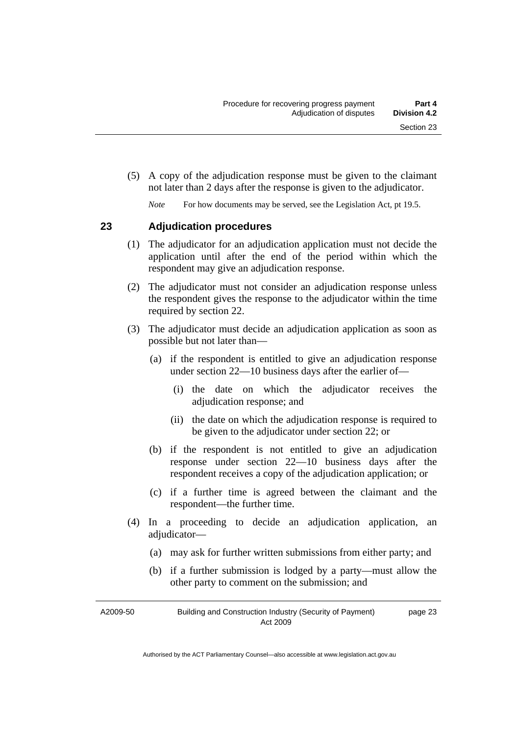<span id="page-26-0"></span> (5) A copy of the adjudication response must be given to the claimant not later than 2 days after the response is given to the adjudicator.

*Note* For how documents may be served, see the Legislation Act, pt 19.5.

#### **23 Adjudication procedures**

- (1) The adjudicator for an adjudication application must not decide the application until after the end of the period within which the respondent may give an adjudication response.
- (2) The adjudicator must not consider an adjudication response unless the respondent gives the response to the adjudicator within the time required by section 22.
- (3) The adjudicator must decide an adjudication application as soon as possible but not later than—
	- (a) if the respondent is entitled to give an adjudication response under section 22—10 business days after the earlier of—
		- (i) the date on which the adjudicator receives the adjudication response; and
		- (ii) the date on which the adjudication response is required to be given to the adjudicator under section 22; or
	- (b) if the respondent is not entitled to give an adjudication response under section 22—10 business days after the respondent receives a copy of the adjudication application; or
	- (c) if a further time is agreed between the claimant and the respondent—the further time.
- (4) In a proceeding to decide an adjudication application, an adjudicator—
	- (a) may ask for further written submissions from either party; and
	- (b) if a further submission is lodged by a party—must allow the other party to comment on the submission; and

A2009-50 Building and Construction Industry (Security of Payment) Act 2009 page 23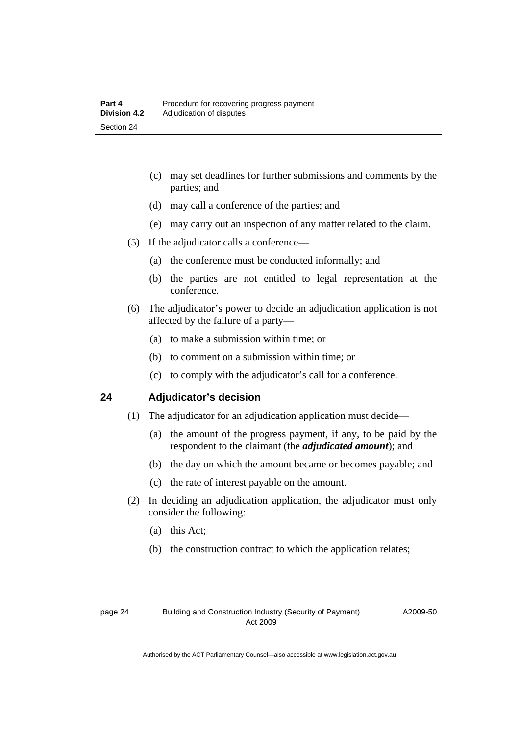- <span id="page-27-0"></span> (c) may set deadlines for further submissions and comments by the parties; and
- (d) may call a conference of the parties; and
- (e) may carry out an inspection of any matter related to the claim.
- (5) If the adjudicator calls a conference—
	- (a) the conference must be conducted informally; and
	- (b) the parties are not entitled to legal representation at the conference.
- (6) The adjudicator's power to decide an adjudication application is not affected by the failure of a party—
	- (a) to make a submission within time; or
	- (b) to comment on a submission within time; or
	- (c) to comply with the adjudicator's call for a conference.

#### **24 Adjudicator's decision**

- (1) The adjudicator for an adjudication application must decide—
	- (a) the amount of the progress payment, if any, to be paid by the respondent to the claimant (the *adjudicated amount*); and
	- (b) the day on which the amount became or becomes payable; and
	- (c) the rate of interest payable on the amount.
- (2) In deciding an adjudication application, the adjudicator must only consider the following:
	- (a) this Act;
	- (b) the construction contract to which the application relates;

A2009-50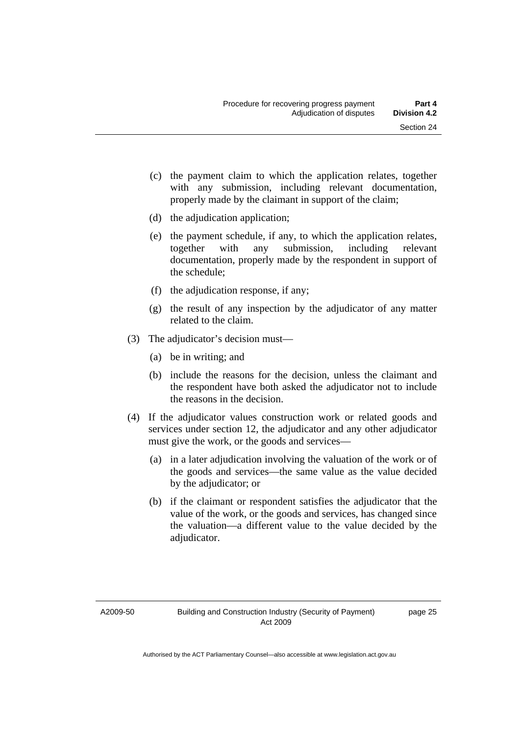- (c) the payment claim to which the application relates, together with any submission, including relevant documentation, properly made by the claimant in support of the claim;
- (d) the adjudication application;
- (e) the payment schedule, if any, to which the application relates, together with any submission, including relevant documentation, properly made by the respondent in support of the schedule;
- (f) the adjudication response, if any;
- (g) the result of any inspection by the adjudicator of any matter related to the claim.
- (3) The adjudicator's decision must—
	- (a) be in writing; and
	- (b) include the reasons for the decision, unless the claimant and the respondent have both asked the adjudicator not to include the reasons in the decision.
- (4) If the adjudicator values construction work or related goods and services under section 12, the adjudicator and any other adjudicator must give the work, or the goods and services—
	- (a) in a later adjudication involving the valuation of the work or of the goods and services—the same value as the value decided by the adjudicator; or
	- (b) if the claimant or respondent satisfies the adjudicator that the value of the work, or the goods and services, has changed since the valuation—a different value to the value decided by the adjudicator.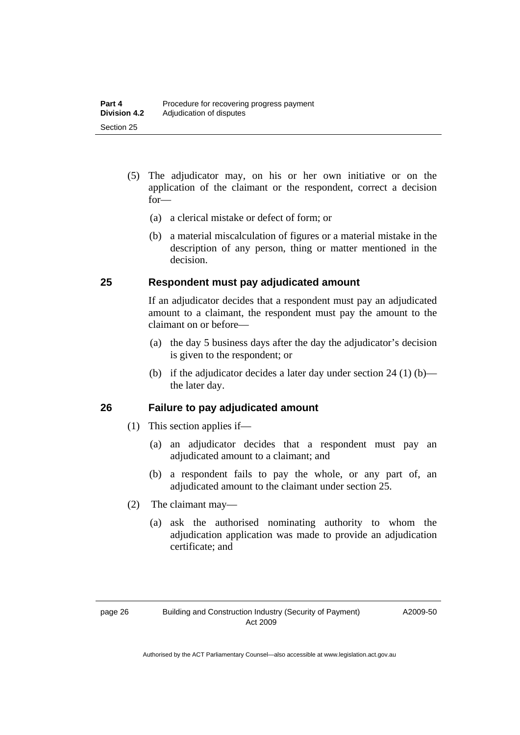- <span id="page-29-0"></span> (5) The adjudicator may, on his or her own initiative or on the application of the claimant or the respondent, correct a decision for—
	- (a) a clerical mistake or defect of form; or
	- (b) a material miscalculation of figures or a material mistake in the description of any person, thing or matter mentioned in the decision.

#### **25 Respondent must pay adjudicated amount**

If an adjudicator decides that a respondent must pay an adjudicated amount to a claimant, the respondent must pay the amount to the claimant on or before—

- (a) the day 5 business days after the day the adjudicator's decision is given to the respondent; or
- (b) if the adjudicator decides a later day under section  $24 (1) (b)$  the later day.

#### **26 Failure to pay adjudicated amount**

- (1) This section applies if—
	- (a) an adjudicator decides that a respondent must pay an adjudicated amount to a claimant; and
	- (b) a respondent fails to pay the whole, or any part of, an adjudicated amount to the claimant under section 25.
- (2) The claimant may—
	- (a) ask the authorised nominating authority to whom the adjudication application was made to provide an adjudication certificate; and

A2009-50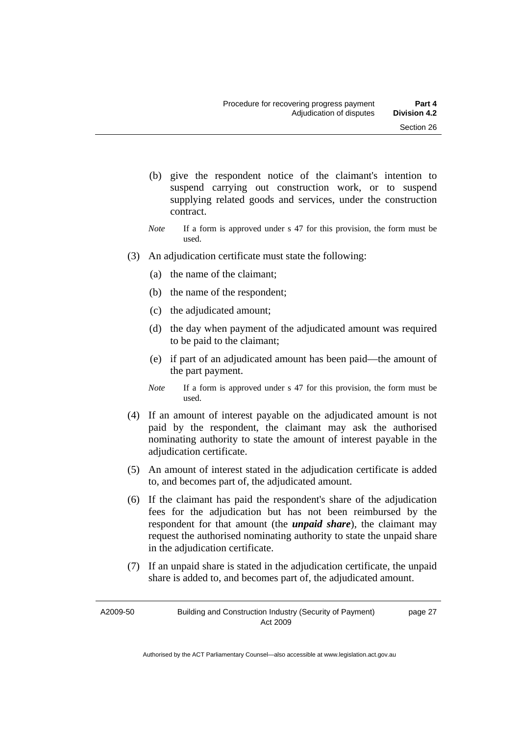- (b) give the respondent notice of the claimant's intention to suspend carrying out construction work, or to suspend supplying related goods and services, under the construction contract.
- *Note* If a form is approved under s 47 for this provision, the form must be used.
- (3) An adjudication certificate must state the following:
	- (a) the name of the claimant;
	- (b) the name of the respondent;
	- (c) the adjudicated amount;
	- (d) the day when payment of the adjudicated amount was required to be paid to the claimant;
	- (e) if part of an adjudicated amount has been paid—the amount of the part payment.
	- *Note* If a form is approved under s 47 for this provision, the form must be used.
- (4) If an amount of interest payable on the adjudicated amount is not paid by the respondent, the claimant may ask the authorised nominating authority to state the amount of interest payable in the adjudication certificate.
- (5) An amount of interest stated in the adjudication certificate is added to, and becomes part of, the adjudicated amount.
- (6) If the claimant has paid the respondent's share of the adjudication fees for the adjudication but has not been reimbursed by the respondent for that amount (the *unpaid share*), the claimant may request the authorised nominating authority to state the unpaid share in the adjudication certificate.
- (7) If an unpaid share is stated in the adjudication certificate, the unpaid share is added to, and becomes part of, the adjudicated amount.

A2009-50 Building and Construction Industry (Security of Payment) Act 2009 page 27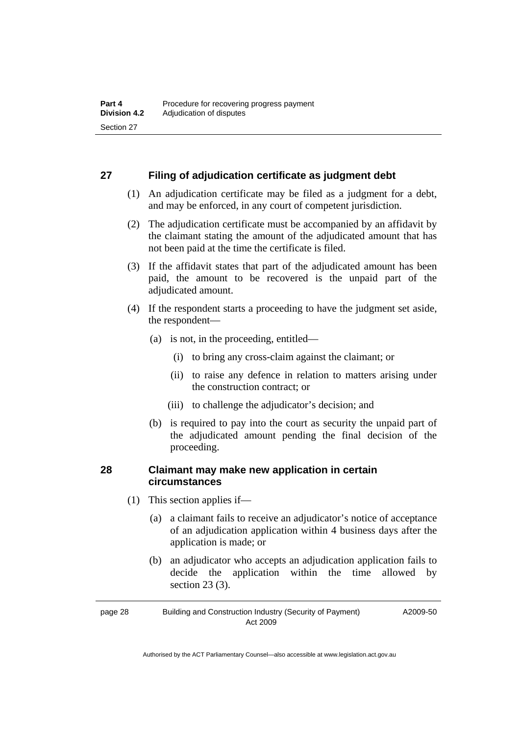#### <span id="page-31-0"></span>**27 Filing of adjudication certificate as judgment debt**

- (1) An adjudication certificate may be filed as a judgment for a debt, and may be enforced, in any court of competent jurisdiction.
- (2) The adjudication certificate must be accompanied by an affidavit by the claimant stating the amount of the adjudicated amount that has not been paid at the time the certificate is filed.
- (3) If the affidavit states that part of the adjudicated amount has been paid, the amount to be recovered is the unpaid part of the adjudicated amount.
- (4) If the respondent starts a proceeding to have the judgment set aside, the respondent—
	- (a) is not, in the proceeding, entitled—
		- (i) to bring any cross-claim against the claimant; or
		- (ii) to raise any defence in relation to matters arising under the construction contract; or
		- (iii) to challenge the adjudicator's decision; and
	- (b) is required to pay into the court as security the unpaid part of the adjudicated amount pending the final decision of the proceeding.

#### **28 Claimant may make new application in certain circumstances**

- (1) This section applies if—
	- (a) a claimant fails to receive an adjudicator's notice of acceptance of an adjudication application within 4 business days after the application is made; or
	- (b) an adjudicator who accepts an adjudication application fails to decide the application within the time allowed by section 23 (3).

page 28 Building and Construction Industry (Security of Payment) Act 2009 A2009-50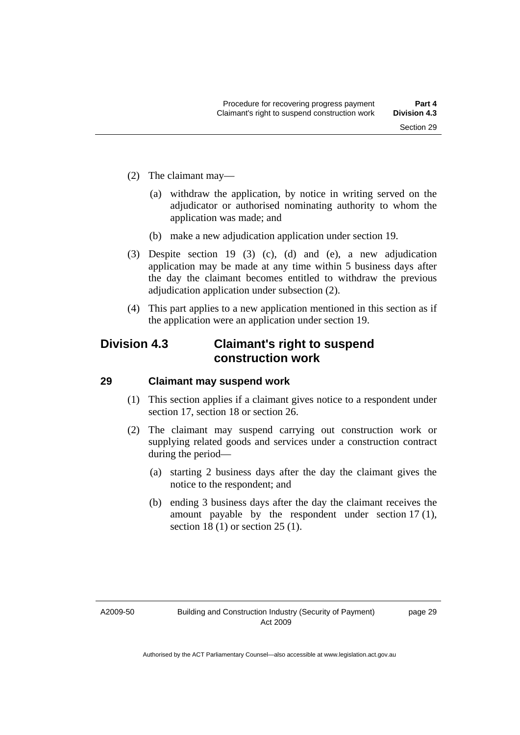- <span id="page-32-0"></span> (2) The claimant may—
	- (a) withdraw the application, by notice in writing served on the adjudicator or authorised nominating authority to whom the application was made; and
	- (b) make a new adjudication application under section 19.
- (3) Despite section 19 (3) (c), (d) and (e), a new adjudication application may be made at any time within 5 business days after the day the claimant becomes entitled to withdraw the previous adjudication application under subsection (2).
- (4) This part applies to a new application mentioned in this section as if the application were an application under section 19.

## **Division 4.3 Claimant's right to suspend construction work**

#### **29 Claimant may suspend work**

- (1) This section applies if a claimant gives notice to a respondent under section 17, section 18 or section 26.
- (2) The claimant may suspend carrying out construction work or supplying related goods and services under a construction contract during the period—
	- (a) starting 2 business days after the day the claimant gives the notice to the respondent; and
	- (b) ending 3 business days after the day the claimant receives the amount payable by the respondent under section 17 (1), section 18 (1) or section 25 (1).

A2009-50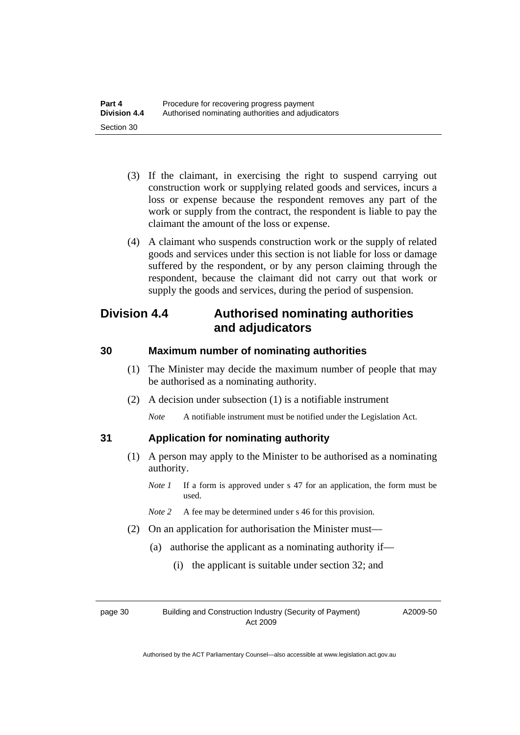- <span id="page-33-0"></span> (3) If the claimant, in exercising the right to suspend carrying out construction work or supplying related goods and services, incurs a loss or expense because the respondent removes any part of the work or supply from the contract, the respondent is liable to pay the claimant the amount of the loss or expense.
- (4) A claimant who suspends construction work or the supply of related goods and services under this section is not liable for loss or damage suffered by the respondent, or by any person claiming through the respondent, because the claimant did not carry out that work or supply the goods and services, during the period of suspension.

# **Division 4.4 Authorised nominating authorities and adjudicators**

#### **30 Maximum number of nominating authorities**

- (1) The Minister may decide the maximum number of people that may be authorised as a nominating authority.
- (2) A decision under subsection (1) is a notifiable instrument

*Note* A notifiable instrument must be notified under the Legislation Act.

#### **31 Application for nominating authority**

- (1) A person may apply to the Minister to be authorised as a nominating authority.
	- *Note 1* If a form is approved under s 47 for an application, the form must be used.
	- *Note 2* A fee may be determined under s 46 for this provision.
- (2) On an application for authorisation the Minister must—
	- (a) authorise the applicant as a nominating authority if—
		- (i) the applicant is suitable under section 32; and

page 30 Building and Construction Industry (Security of Payment) Act 2009

A2009-50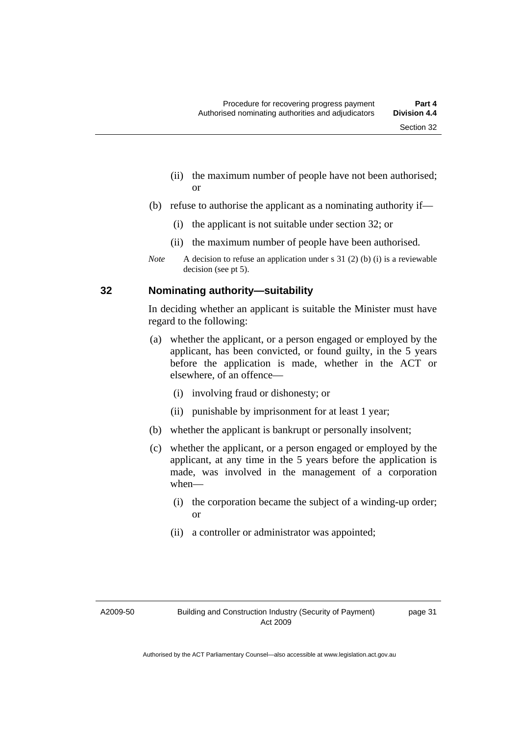- <span id="page-34-0"></span> (ii) the maximum number of people have not been authorised; or
- (b) refuse to authorise the applicant as a nominating authority if—
	- (i) the applicant is not suitable under section 32; or
	- (ii) the maximum number of people have been authorised.
- *Note* A decision to refuse an application under s 31 (2) (b) (i) is a reviewable decision (see pt 5).

#### **32 Nominating authority—suitability**

In deciding whether an applicant is suitable the Minister must have regard to the following:

- (a) whether the applicant, or a person engaged or employed by the applicant, has been convicted, or found guilty, in the 5 years before the application is made, whether in the ACT or elsewhere, of an offence—
	- (i) involving fraud or dishonesty; or
	- (ii) punishable by imprisonment for at least 1 year;
- (b) whether the applicant is bankrupt or personally insolvent;
- (c) whether the applicant, or a person engaged or employed by the applicant, at any time in the 5 years before the application is made, was involved in the management of a corporation when—
	- (i) the corporation became the subject of a winding-up order; or
	- (ii) a controller or administrator was appointed;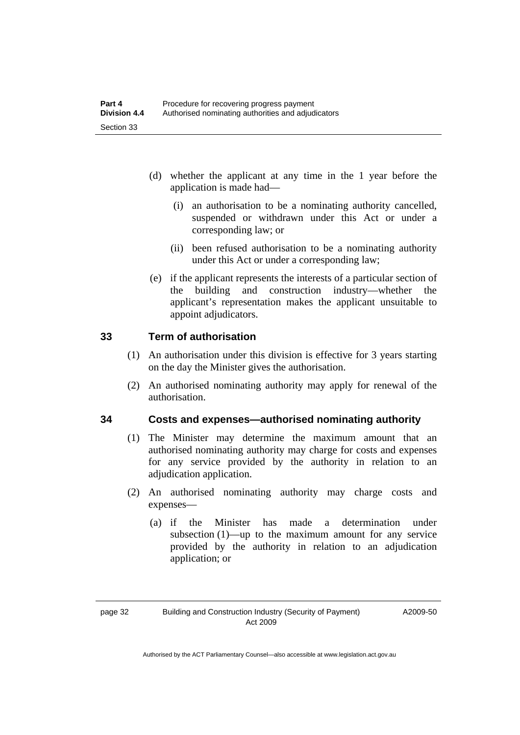- <span id="page-35-0"></span> (d) whether the applicant at any time in the 1 year before the application is made had—
	- (i) an authorisation to be a nominating authority cancelled, suspended or withdrawn under this Act or under a corresponding law; or
	- (ii) been refused authorisation to be a nominating authority under this Act or under a corresponding law;
- (e) if the applicant represents the interests of a particular section of the building and construction industry—whether the applicant's representation makes the applicant unsuitable to appoint adjudicators.

#### **33 Term of authorisation**

- (1) An authorisation under this division is effective for 3 years starting on the day the Minister gives the authorisation.
- (2) An authorised nominating authority may apply for renewal of the authorisation.

#### **34 Costs and expenses—authorised nominating authority**

- (1) The Minister may determine the maximum amount that an authorised nominating authority may charge for costs and expenses for any service provided by the authority in relation to an adjudication application.
- (2) An authorised nominating authority may charge costs and expenses—
	- (a) if the Minister has made a determination under subsection (1)—up to the maximum amount for any service provided by the authority in relation to an adjudication application; or

A2009-50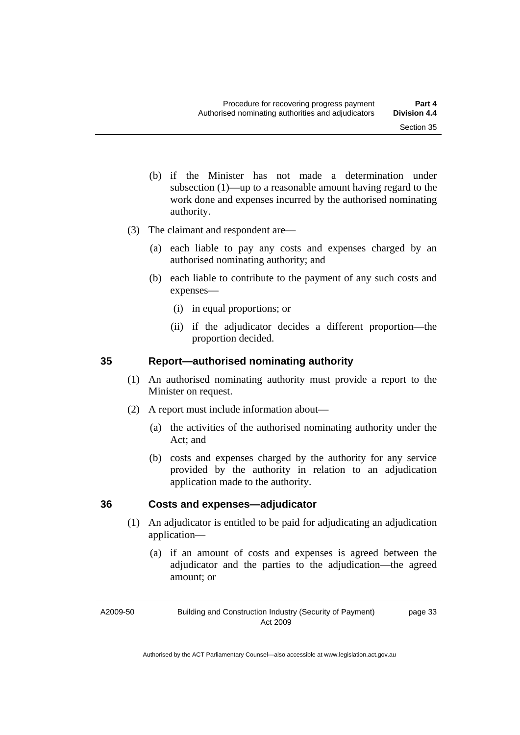page 33

- <span id="page-36-0"></span> (b) if the Minister has not made a determination under subsection (1)—up to a reasonable amount having regard to the work done and expenses incurred by the authorised nominating authority.
- (3) The claimant and respondent are—
	- (a) each liable to pay any costs and expenses charged by an authorised nominating authority; and
	- (b) each liable to contribute to the payment of any such costs and expenses—
		- (i) in equal proportions; or
		- (ii) if the adjudicator decides a different proportion—the proportion decided.

#### **35 Report—authorised nominating authority**

- (1) An authorised nominating authority must provide a report to the Minister on request.
- (2) A report must include information about—
	- (a) the activities of the authorised nominating authority under the Act; and
	- (b) costs and expenses charged by the authority for any service provided by the authority in relation to an adjudication application made to the authority.

#### **36 Costs and expenses—adjudicator**

- (1) An adjudicator is entitled to be paid for adjudicating an adjudication application—
	- (a) if an amount of costs and expenses is agreed between the adjudicator and the parties to the adjudication—the agreed amount; or

A2009-50

Building and Construction Industry (Security of Payment) Act 2009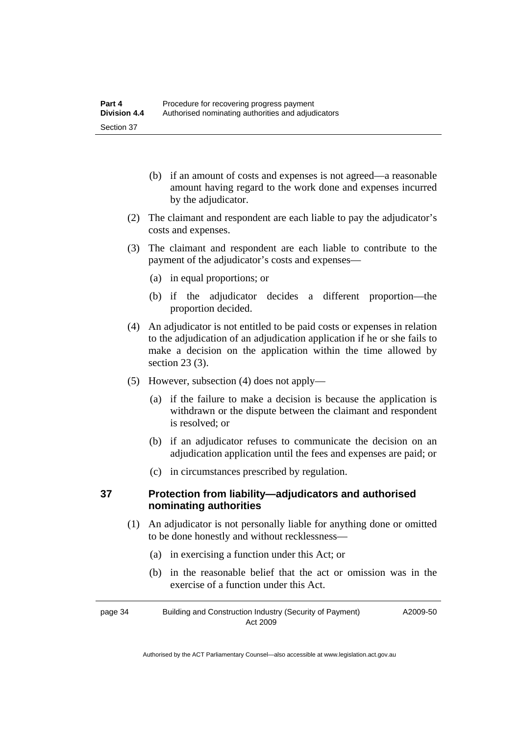- <span id="page-37-0"></span> (b) if an amount of costs and expenses is not agreed—a reasonable amount having regard to the work done and expenses incurred by the adjudicator.
- (2) The claimant and respondent are each liable to pay the adjudicator's costs and expenses.
- (3) The claimant and respondent are each liable to contribute to the payment of the adjudicator's costs and expenses—
	- (a) in equal proportions; or
	- (b) if the adjudicator decides a different proportion—the proportion decided.
- (4) An adjudicator is not entitled to be paid costs or expenses in relation to the adjudication of an adjudication application if he or she fails to make a decision on the application within the time allowed by section 23 (3).
- (5) However, subsection (4) does not apply—
	- (a) if the failure to make a decision is because the application is withdrawn or the dispute between the claimant and respondent is resolved; or
	- (b) if an adjudicator refuses to communicate the decision on an adjudication application until the fees and expenses are paid; or
	- (c) in circumstances prescribed by regulation.

#### **37 Protection from liability—adjudicators and authorised nominating authorities**

- (1) An adjudicator is not personally liable for anything done or omitted to be done honestly and without recklessness—
	- (a) in exercising a function under this Act; or
	- (b) in the reasonable belief that the act or omission was in the exercise of a function under this Act.

page 34 Building and Construction Industry (Security of Payment) Act 2009 A2009-50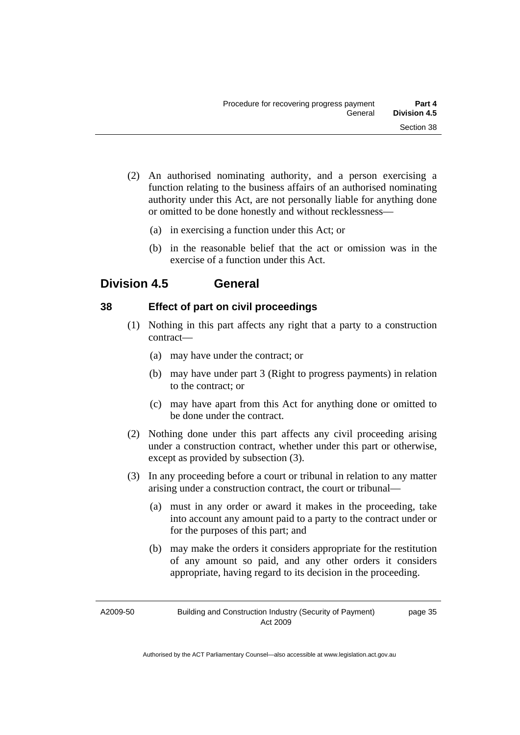- <span id="page-38-0"></span> (2) An authorised nominating authority, and a person exercising a function relating to the business affairs of an authorised nominating authority under this Act, are not personally liable for anything done or omitted to be done honestly and without recklessness—
	- (a) in exercising a function under this Act; or
	- (b) in the reasonable belief that the act or omission was in the exercise of a function under this Act.

## **Division 4.5 General**

#### **38 Effect of part on civil proceedings**

- (1) Nothing in this part affects any right that a party to a construction contract—
	- (a) may have under the contract; or
	- (b) may have under part 3 (Right to progress payments) in relation to the contract; or
	- (c) may have apart from this Act for anything done or omitted to be done under the contract.
- (2) Nothing done under this part affects any civil proceeding arising under a construction contract, whether under this part or otherwise, except as provided by subsection (3).
- (3) In any proceeding before a court or tribunal in relation to any matter arising under a construction contract, the court or tribunal—
	- (a) must in any order or award it makes in the proceeding, take into account any amount paid to a party to the contract under or for the purposes of this part; and
	- (b) may make the orders it considers appropriate for the restitution of any amount so paid, and any other orders it considers appropriate, having regard to its decision in the proceeding.

A2009-50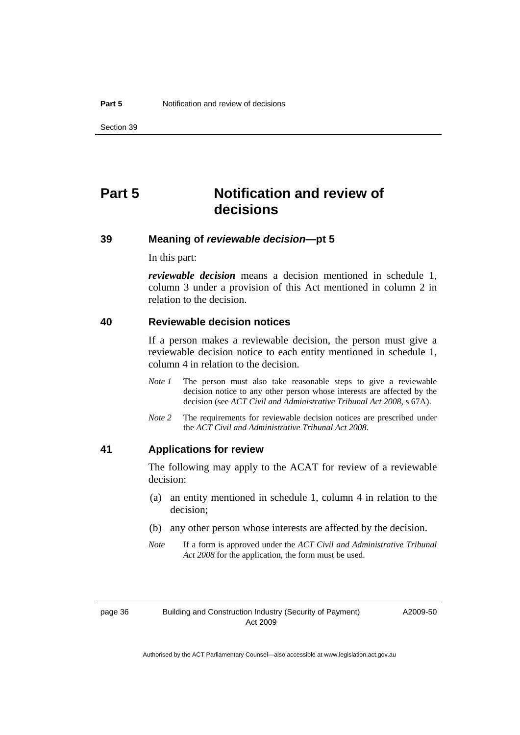# <span id="page-39-0"></span>**Part 5 Notification and review of decisions**

#### **39 Meaning of** *reviewable decision***—pt 5**

In this part:

*reviewable decision* means a decision mentioned in schedule 1, column 3 under a provision of this Act mentioned in column 2 in relation to the decision.

#### **40 Reviewable decision notices**

If a person makes a reviewable decision, the person must give a reviewable decision notice to each entity mentioned in schedule 1, column 4 in relation to the decision.

- *Note 1* The person must also take reasonable steps to give a reviewable decision notice to any other person whose interests are affected by the decision (see *ACT Civil and Administrative Tribunal Act 2008*, s 67A).
- *Note* 2 The requirements for reviewable decision notices are prescribed under the *ACT Civil and Administrative Tribunal Act 2008*.

#### **41 Applications for review**

The following may apply to the ACAT for review of a reviewable decision:

- (a) an entity mentioned in schedule 1, column 4 in relation to the decision;
- (b) any other person whose interests are affected by the decision.
- *Note* If a form is approved under the *ACT Civil and Administrative Tribunal Act 2008* for the application, the form must be used.

page 36 Building and Construction Industry (Security of Payment) Act 2009

A2009-50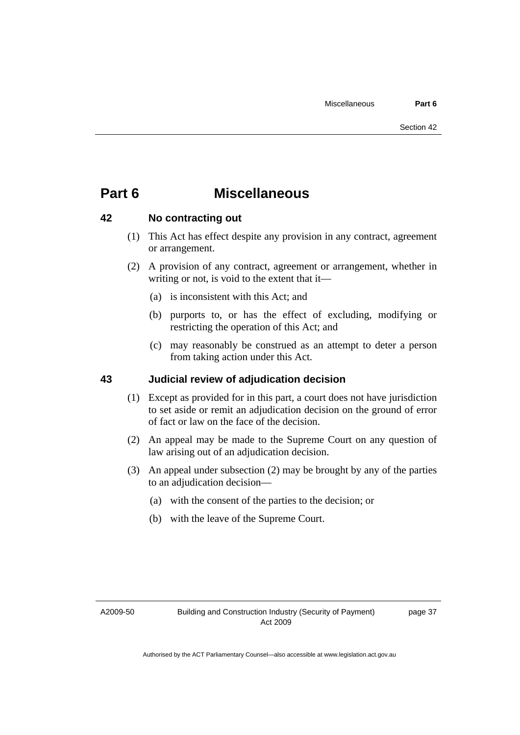# <span id="page-40-0"></span>**Part 6 Miscellaneous**

#### **42 No contracting out**

- (1) This Act has effect despite any provision in any contract, agreement or arrangement.
- (2) A provision of any contract, agreement or arrangement, whether in writing or not, is void to the extent that it—
	- (a) is inconsistent with this Act; and
	- (b) purports to, or has the effect of excluding, modifying or restricting the operation of this Act; and
	- (c) may reasonably be construed as an attempt to deter a person from taking action under this Act.

#### **43 Judicial review of adjudication decision**

- (1) Except as provided for in this part, a court does not have jurisdiction to set aside or remit an adjudication decision on the ground of error of fact or law on the face of the decision.
- (2) An appeal may be made to the Supreme Court on any question of law arising out of an adjudication decision.
- (3) An appeal under subsection (2) may be brought by any of the parties to an adjudication decision—
	- (a) with the consent of the parties to the decision; or
	- (b) with the leave of the Supreme Court.

A2009-50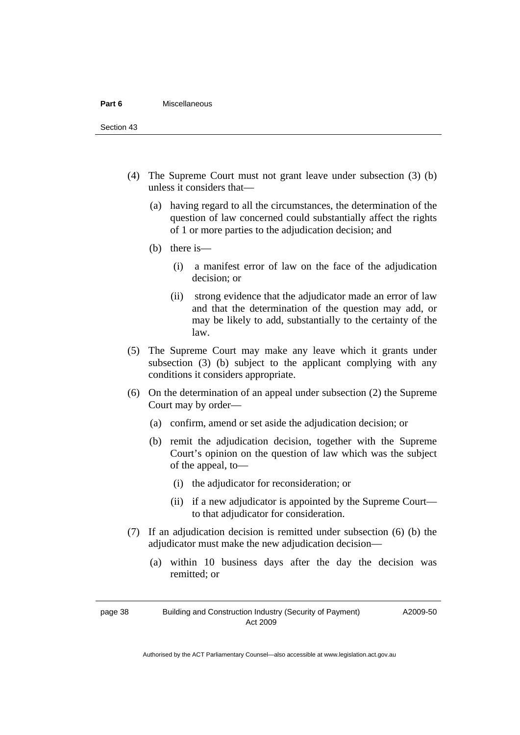#### **Part 6** Miscellaneous

Section 43

- (4) The Supreme Court must not grant leave under subsection (3) (b) unless it considers that—
	- (a) having regard to all the circumstances, the determination of the question of law concerned could substantially affect the rights of 1 or more parties to the adjudication decision; and
	- (b) there is—
		- (i) a manifest error of law on the face of the adjudication decision; or
		- (ii) strong evidence that the adjudicator made an error of law and that the determination of the question may add, or may be likely to add, substantially to the certainty of the law.
- (5) The Supreme Court may make any leave which it grants under subsection (3) (b) subject to the applicant complying with any conditions it considers appropriate.
- (6) On the determination of an appeal under subsection (2) the Supreme Court may by order—
	- (a) confirm, amend or set aside the adjudication decision; or
	- (b) remit the adjudication decision, together with the Supreme Court's opinion on the question of law which was the subject of the appeal, to—
		- (i) the adjudicator for reconsideration; or
		- (ii) if a new adjudicator is appointed by the Supreme Court to that adjudicator for consideration.
- (7) If an adjudication decision is remitted under subsection (6) (b) the adjudicator must make the new adjudication decision—
	- (a) within 10 business days after the day the decision was remitted; or

page 38 Building and Construction Industry (Security of Payment) Act 2009

A2009-50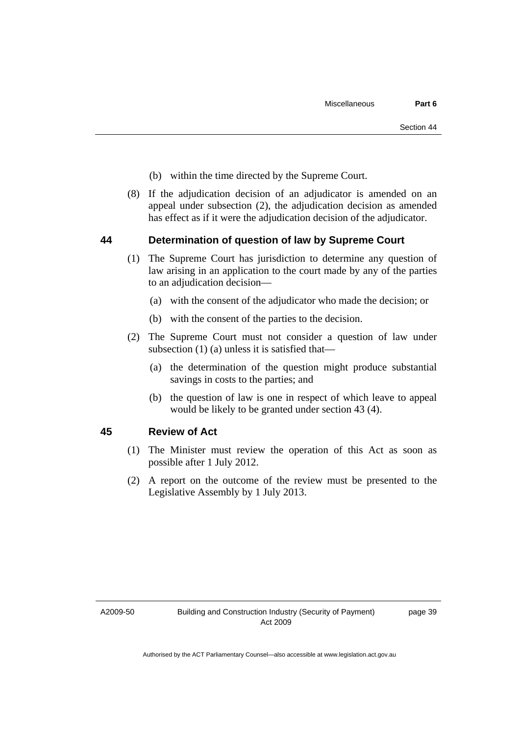- <span id="page-42-0"></span>(b) within the time directed by the Supreme Court.
- (8) If the adjudication decision of an adjudicator is amended on an appeal under subsection (2), the adjudication decision as amended has effect as if it were the adjudication decision of the adjudicator.

#### **44 Determination of question of law by Supreme Court**

- (1) The Supreme Court has jurisdiction to determine any question of law arising in an application to the court made by any of the parties to an adjudication decision—
	- (a) with the consent of the adjudicator who made the decision; or
	- (b) with the consent of the parties to the decision.
- (2) The Supreme Court must not consider a question of law under subsection (1) (a) unless it is satisfied that—
	- (a) the determination of the question might produce substantial savings in costs to the parties; and
	- (b) the question of law is one in respect of which leave to appeal would be likely to be granted under section 43 (4).

#### **45 Review of Act**

- (1) The Minister must review the operation of this Act as soon as possible after 1 July 2012.
- (2) A report on the outcome of the review must be presented to the Legislative Assembly by 1 July 2013.

A2009-50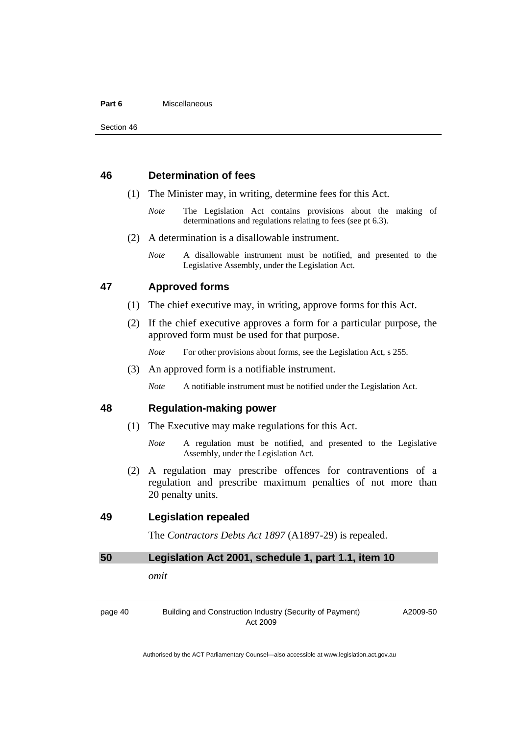#### <span id="page-43-0"></span>**Part 6** Miscellaneous

#### **46 Determination of fees**

- (1) The Minister may, in writing, determine fees for this Act.
	- *Note* The Legislation Act contains provisions about the making of determinations and regulations relating to fees (see pt 6.3).
- (2) A determination is a disallowable instrument.
	- *Note* A disallowable instrument must be notified, and presented to the Legislative Assembly, under the Legislation Act.

#### **47 Approved forms**

- (1) The chief executive may, in writing, approve forms for this Act.
- (2) If the chief executive approves a form for a particular purpose, the approved form must be used for that purpose.
	- *Note* For other provisions about forms, see the Legislation Act, s 255.
- (3) An approved form is a notifiable instrument.

*Note* A notifiable instrument must be notified under the Legislation Act.

#### **48 Regulation-making power**

- (1) The Executive may make regulations for this Act.
	- *Note* A regulation must be notified, and presented to the Legislative Assembly, under the Legislation Act.
- (2) A regulation may prescribe offences for contraventions of a regulation and prescribe maximum penalties of not more than 20 penalty units.

#### **49 Legislation repealed**

The *Contractors Debts Act 1897* (A1897-29) is repealed.

#### **50 Legislation Act 2001, schedule 1, part 1.1, item 10**

*omit* 

page 40 Building and Construction Industry (Security of Payment) Act 2009

A2009-50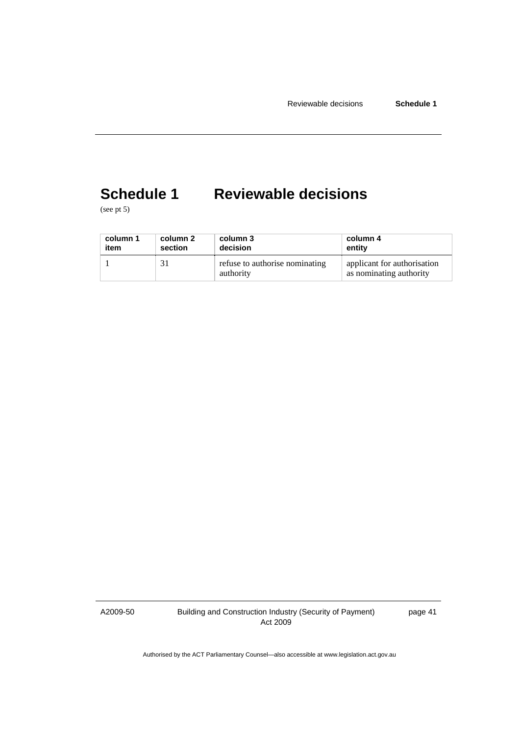# <span id="page-44-0"></span>**Schedule 1 Reviewable decisions**

(see pt 5)

| column 1 | column 2 | column 3                                    | column 4                                               |
|----------|----------|---------------------------------------------|--------------------------------------------------------|
| item     | section  | decision                                    | entity                                                 |
|          |          | refuse to authorise nominating<br>authority | applicant for authorization<br>as nominating authority |

A2009-50

Building and Construction Industry (Security of Payment) Act 2009

page 41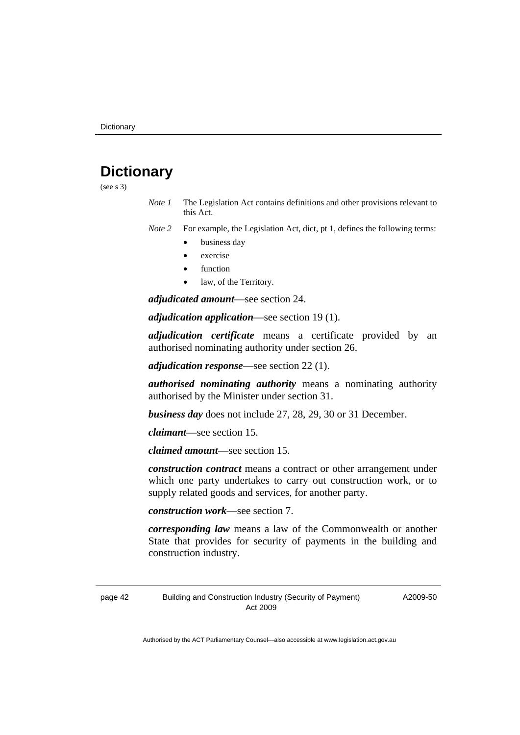# <span id="page-45-0"></span>**Dictionary**

(see s 3)

- *Note 1* The Legislation Act contains definitions and other provisions relevant to this Act.
- *Note 2* For example, the Legislation Act, dict, pt 1, defines the following terms:
	- business day
	- exercise
	- function
	- law, of the Territory.

*adjudicated amount*—see section 24.

*adjudication application*—see section 19 (1).

*adjudication certificate* means a certificate provided by an authorised nominating authority under section 26.

*adjudication response*—see section 22 (1).

*authorised nominating authority* means a nominating authority authorised by the Minister under section 31.

*business day* does not include 27, 28, 29, 30 or 31 December.

*claimant*—see section 15.

*claimed amount*—see section 15.

*construction contract* means a contract or other arrangement under which one party undertakes to carry out construction work, or to supply related goods and services, for another party.

*construction work*—see section 7.

*corresponding law* means a law of the Commonwealth or another State that provides for security of payments in the building and construction industry.

page 42 Building and Construction Industry (Security of Payment) Act 2009

A2009-50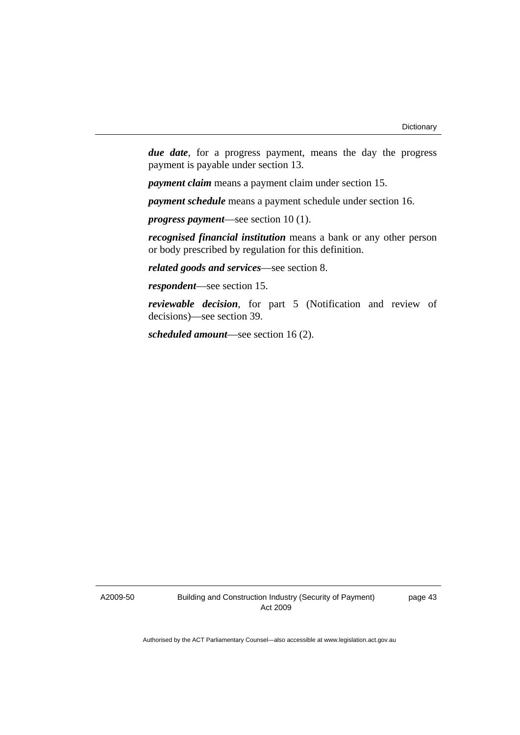*due date*, for a progress payment, means the day the progress payment is payable under section 13.

*payment claim* means a payment claim under section 15.

*payment schedule* means a payment schedule under section 16.

*progress payment*—see section 10 (1).

*recognised financial institution* means a bank or any other person or body prescribed by regulation for this definition.

*related goods and services*—see section 8.

*respondent*—see section 15.

*reviewable decision*, for part 5 (Notification and review of decisions)—see section 39.

*scheduled amount*—see section 16 (2).

A2009-50

Building and Construction Industry (Security of Payment) Act 2009

page 43